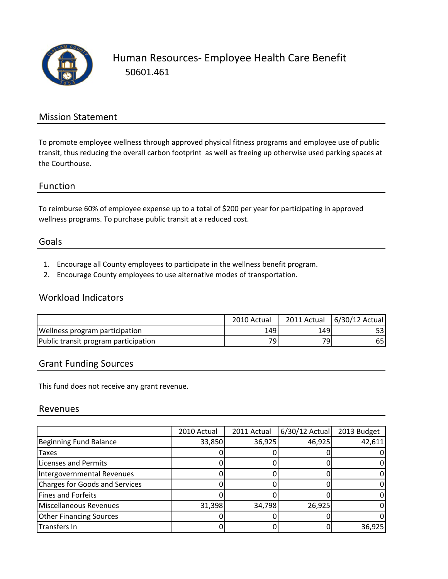

Human Resources‐ Employee Health Care Benefit 50601.461

### Mission Statement

To promote employee wellness through approved physical fitness programs and employee use of public transit, thus reducing the overall carbon footprint as well as freeing up otherwise used parking spaces at the Courthouse.

#### Function

To reimburse 60% of employee expense up to a total of \$200 per year for participating in approved wellness programs. To purchase public transit at a reduced cost.

#### Goals

- 1. Encourage all County employees to participate in the wellness benefit program.
- 2. Encourage County employees to use alternative modes of transportation.

## Workload Indicators

|                                       | 2010 Actual     | 2011 Actual     | 6/30/12 Actual |
|---------------------------------------|-----------------|-----------------|----------------|
| <b>Wellness program participation</b> | 149             | 149             |                |
| Public transit program participation  | 79 <sub>1</sub> | 79 <sub>1</sub> | 65.            |

### Grant Funding Sources

This fund does not receive any grant revenue.

#### Revenues

|                                | 2010 Actual | 2011 Actual | 6/30/12 Actual | 2013 Budget |
|--------------------------------|-------------|-------------|----------------|-------------|
| Beginning Fund Balance         | 33,850      | 36,925      | 46,925         | 42,611      |
| <b>Taxes</b>                   |             |             |                |             |
| Licenses and Permits           |             |             |                |             |
| Intergovernmental Revenues     |             |             |                |             |
| Charges for Goods and Services |             |             |                |             |
| Fines and Forfeits             |             |             |                |             |
| Miscellaneous Revenues         | 31,398      | 34,798      | 26,925         |             |
| <b>Other Financing Sources</b> |             |             |                |             |
| Transfers In                   |             |             |                | 36,925      |